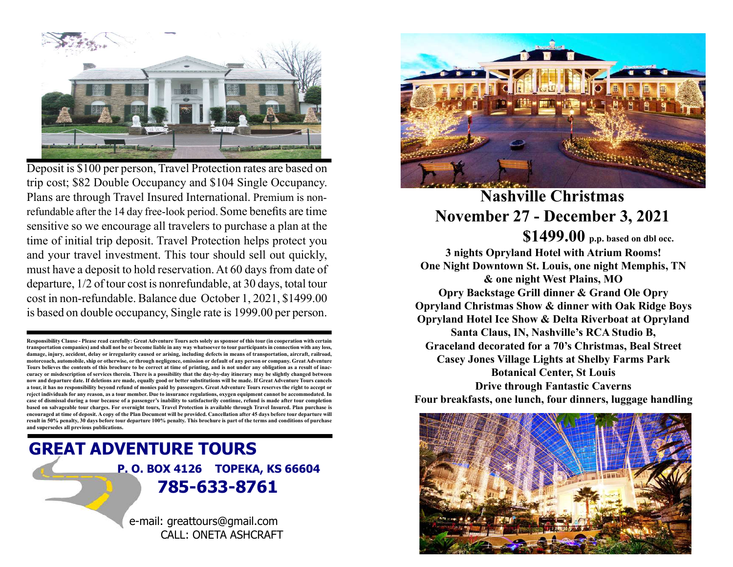

Deposit is \$100 per person, Travel Protection rates are based on trip cost; \$82 Double Occupancy and \$104 Single Occupancy. Plans are through Travel Insured International. Premium is nonrefundable after the 14 day free-look period. Some benefits are time sensitive so we encourage all travelers to purchase a plan at the time of initial trip deposit. Travel Protection helps protect you and your travel investment. This tour should sell out quickly, must have a deposit to hold reservation. At 60 days from date of departure, 1/2 of tour cost is nonrefundable, at 30 days, total tour cost in non-refundable. Balance due October 1, 2021, \$1499.00 is based on double occupancy, Single rate is 1999.00 per person.

Responsibility Clause - Please read carefully: Great Adventure Tours acts solely as sponsor of this tour (in cooperation with certain transportation companies) and shall not be or become liable in any way whatsoever to tour participants in connection with any loss, damage, injury, accident, delay or irregularity caused or arising, including defects in means of transportation, aircraft, railroad, motorcoach, automobile, ship or otherwise, or through negligence, omission or default of any person or company. Great Adventure Tours believes the contents of this brochure to be correct at time of printing, and is not under any obligation as a result of inaccuracy or misdescription of services therein. There is a possibility that the day-by-day itinerary may be slightly changed between now and departure date. If deletions are made, equally good or better substitutions will be made. If Great Adventure Tours cancels a tour, it has no responsibility beyond refund of monies paid by passengers. Great Adventure Tours reserves the right to accept or reject individuals for any reason, as a tour member. Due to insurance regulations, oxygen equipment cannot be accommodated. In case of dismissal during a tour because of a passenger's inability to satisfactorily continue, refund is made after tour completion based on salvageable tour charges. For overnight tours, Travel Protection is available through Travel Insured. Plan purchase is encouraged at time of deposit. A copy of the Plan Document will be provided. Cancellation after 45 days before tour departure will result in 50% penalty, 30 days before tour departure 100% penalty. This brochure is part of the terms and conditions of purchase and supersedes all previous publications.

# GREAT ADVENTURE TOURS P. O. BOX 4126 TOPEKA, KS 66604 785-633-8761

e-mail: greattours@gmail.com CALL: ONETA ASHCRAFT



# Nashville Christmas November 27 - December 3, 2021 \$1499.00 p.p. based on dbl occ.

3 nights Opryland Hotel with Atrium Rooms! One Night Downtown St. Louis, one night Memphis, TN & one night West Plains, MO Opry Backstage Grill dinner & Grand Ole Opry Opryland Christmas Show & dinner with Oak Ridge Boys Opryland Hotel Ice Show & Delta Riverboat at Opryland Santa Claus, IN, Nashville's RCA Studio B, Graceland decorated for a 70's Christmas, Beal Street Casey Jones Village Lights at Shelby Farms Park Botanical Center, St Louis Drive through Fantastic Caverns Four breakfasts, one lunch, four dinners, luggage handling